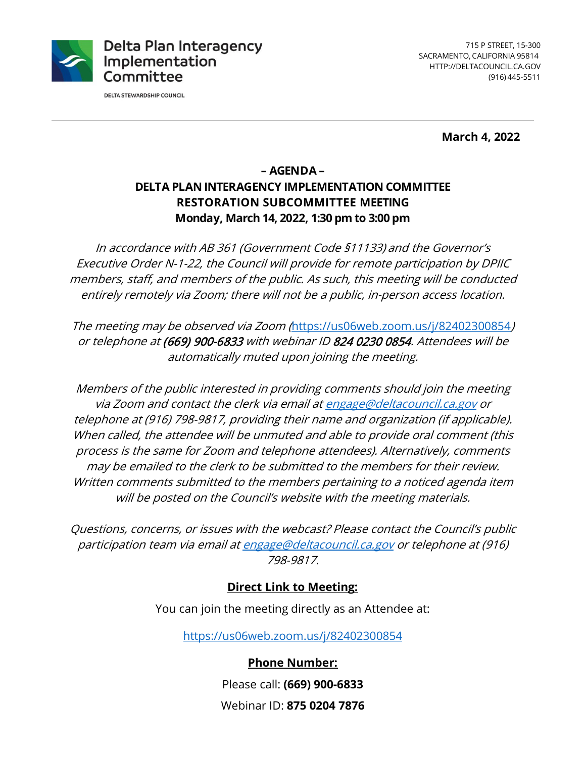

**DELTA STEWARDSHIP COUNCIL** 

 SACRAMENTO, CALIFORNIA 95814 (916) 445-5511 715 P STREET, 15-300 <HTTP://DELTACOUNCIL.CA.GOV>

**March 4, 2022** 

# **– AGENDA – DELTA PLAN INTERAGENCY IMPLEMENTATION COMMITTEE RESTORATION SUBCOMMITTEE MEETING Monday, March 14, 2022, 1:30 pm to 3:00 pm**

In accordance with AB 361 (Government Code §11133) and the Governor's Executive Order N-1-22, the Council will provide for remote participation by DPIIC members, staff, and members of the public. As such, this meeting will be conducted entirely remotely via Zoom; there will not be a public, in-person access location.

The meeting may be observed via Zoom (<https://us06web.zoom.us/j/82402300854>) or telephone at (669) 900-6833 with webinar ID 824 0230 0854. Attendees will be automatically muted upon joining the meeting.

via Zoom and contact the clerk via email at <u>engage@deltacouncil.ca.gov</u> or will be posted on the Council's website with the meeting materials. Members of the public interested in providing comments should join the meeting telephone at (916) 798-9817, providing their name and organization (if applicable). When called, the attendee will be unmuted and able to provide oral comment (this process is the same for Zoom and telephone attendees). Alternatively, comments may be emailed to the clerk to be submitted to the members for their review. Written comments submitted to the members pertaining to a noticed agenda item

Questions, concerns, or issues with the webcast? Please contact the Council's public participation team via email at [engage@deltacouncil.ca.gov](mailto:engage@deltacouncil.ca.gov) or telephone at (916) 798-9817.

### **Direct Link to Meeting:**

You can join the meeting directly as an Attendee at:

<https://us06web.zoom.us/j/82402300854>

**Phone Number:**  Please call: **(669) 900-6833** 

Webinar ID: **875 0204 7876**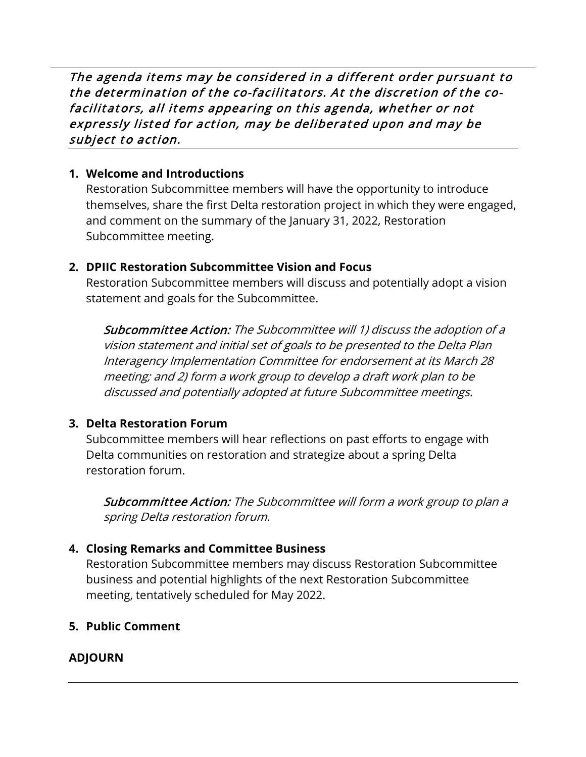The agenda items may be considered in a different order pursuant to the determination of the co-facilitators. At the discretion of the co- facilitators, all items appearing on this agenda, whether or not expressly listed for action, may be deliberated upon and may be subject to action.

### **1. Welcome and Introductions**

Restoration Subcommittee members will have the opportunity to introduce themselves, share the first Delta restoration project in which they were engaged, and comment on the summary of the January 31, 2022, Restoration Subcommittee meeting.

# **2. DPIIC Restoration Subcommittee Vision and Focus**

Restoration Subcommittee members will discuss and potentially adopt a vision statement and goals for the Subcommittee.

 Subcommittee Action: The Subcommittee will 1) discuss the adoption of a vision statement and initial set of goals to be presented to the Delta Plan Interagency Implementation Committee for endorsement at its March 28 meeting; and 2) form a work group to develop a draft work plan to be discussed and potentially adopted at future Subcommittee meetings.

# **3. Delta Restoration Forum**

 Subcommittee members will hear reflections on past efforts to engage with Delta communities on restoration and strategize about a spring Delta restoration forum.

Subcommittee Action: The Subcommittee will form a work group to plan a spring Delta restoration forum.

# **4. Closing Remarks and Committee Business**

Restoration Subcommittee members may discuss Restoration Subcommittee business and potential highlights of the next Restoration Subcommittee meeting, tentatively scheduled for May 2022.

# **5. Public Comment**

# **ADJOURN**